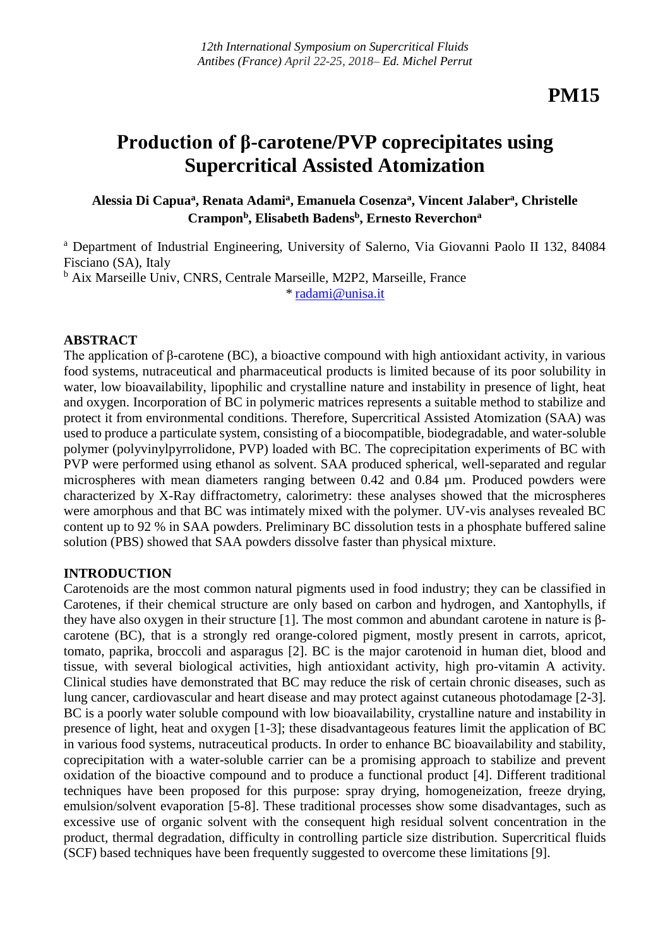# **Production of β-carotene/PVP coprecipitates using Supercritical Assisted Atomization**

# **Alessia Di Capua<sup>a</sup> , Renata Adami<sup>a</sup> , Emanuela Cosenza<sup>a</sup> , Vincent Jalaber<sup>a</sup> , Christelle Crampon<sup>b</sup> , Elisabeth Badens<sup>b</sup> , Ernesto Reverchon<sup>a</sup>**

<sup>a</sup> Department of Industrial Engineering, University of Salerno, Via Giovanni Paolo II 132, 84084 Fisciano (SA), Italy

b Aix Marseille Univ, CNRS, Centrale Marseille, M2P2, Marseille, France *\** [radami@unisa.it](mailto:radami@unisa.it)

## **ABSTRACT**

The application of β-carotene (BC), a bioactive compound with high antioxidant activity, in various food systems, nutraceutical and pharmaceutical products is limited because of its poor solubility in water, low bioavailability, lipophilic and crystalline nature and instability in presence of light, heat and oxygen. Incorporation of BC in polymeric matrices represents a suitable method to stabilize and protect it from environmental conditions. Therefore, Supercritical Assisted Atomization (SAA) was used to produce a particulate system, consisting of a biocompatible, biodegradable, and water-soluble polymer (polyvinylpyrrolidone, PVP) loaded with BC. The coprecipitation experiments of BC with PVP were performed using ethanol as solvent. SAA produced spherical, well-separated and regular microspheres with mean diameters ranging between 0.42 and 0.84 µm. Produced powders were characterized by X-Ray diffractometry, calorimetry: these analyses showed that the microspheres were amorphous and that BC was intimately mixed with the polymer. UV-vis analyses revealed BC content up to 92 % in SAA powders. Preliminary BC dissolution tests in a phosphate buffered saline solution (PBS) showed that SAA powders dissolve faster than physical mixture.

## **INTRODUCTION**

Carotenoids are the most common natural pigments used in food industry; they can be classified in Carotenes, if their chemical structure are only based on carbon and hydrogen, and Xantophylls, if they have also oxygen in their structure [1]. The most common and abundant carotene in nature is βcarotene (BC), that is a strongly red orange-colored pigment, mostly present in carrots, apricot, tomato, paprika, broccoli and asparagus [2]. BC is the major carotenoid in human diet, blood and tissue, with several biological activities, high antioxidant activity, high pro-vitamin A activity. Clinical studies have demonstrated that BC may reduce the risk of certain chronic diseases, such as lung cancer, cardiovascular and heart disease and may protect against cutaneous photodamage [2-3]. BC is a poorly water soluble compound with low bioavailability, crystalline nature and instability in presence of light, heat and oxygen [1-3]; these disadvantageous features limit the application of BC in various food systems, nutraceutical products. In order to enhance BC bioavailability and stability, coprecipitation with a water-soluble carrier can be a promising approach to stabilize and prevent oxidation of the bioactive compound and to produce a functional product [4]. Different traditional techniques have been proposed for this purpose: spray drying, homogeneization, freeze drying, emulsion/solvent evaporation [5-8]. These traditional processes show some disadvantages, such as excessive use of organic solvent with the consequent high residual solvent concentration in the product, thermal degradation, difficulty in controlling particle size distribution. Supercritical fluids (SCF) based techniques have been frequently suggested to overcome these limitations [9].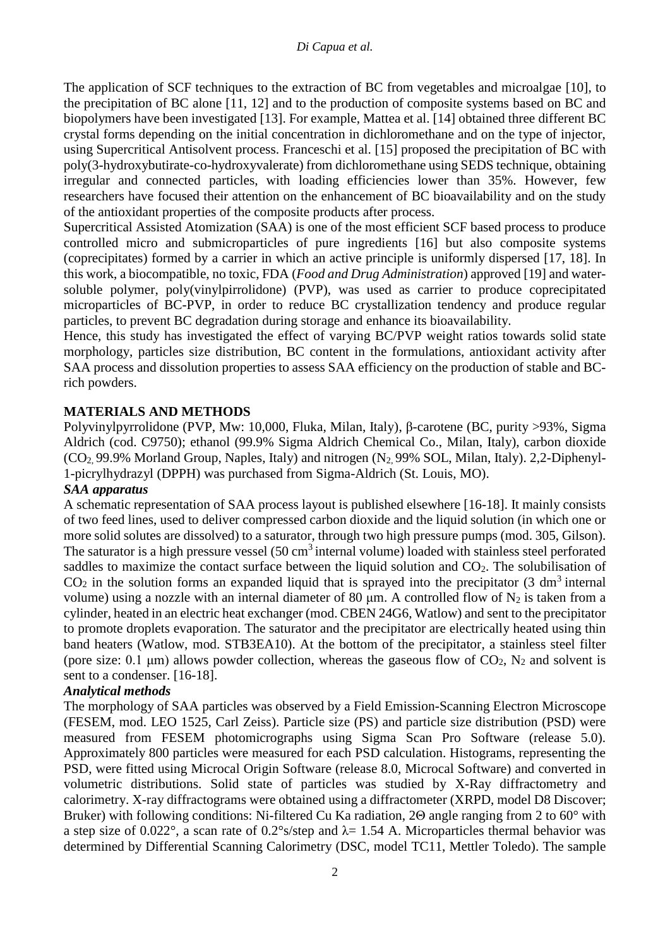The application of SCF techniques to the extraction of BC from vegetables and microalgae [10], to the precipitation of BC alone [11, 12] and to the production of composite systems based on BC and biopolymers have been investigated [13]. For example, Mattea et al. [14] obtained three different BC crystal forms depending on the initial concentration in dichloromethane and on the type of injector, using Supercritical Antisolvent process. Franceschi et al. [15] proposed the precipitation of BC with poly(3-hydroxybutirate-co-hydroxyvalerate) from dichloromethane using SEDS technique, obtaining irregular and connected particles, with loading efficiencies lower than 35%. However, few researchers have focused their attention on the enhancement of BC bioavailability and on the study of the antioxidant properties of the composite products after process.

Supercritical Assisted Atomization (SAA) is one of the most efficient SCF based process to produce controlled micro and submicroparticles of pure ingredients [16] but also composite systems (coprecipitates) formed by a carrier in which an active principle is uniformly dispersed [17, 18]. In this work, a biocompatible, no toxic, FDA (*Food and Drug Administration*) approved [19] and watersoluble polymer, poly(vinylpirrolidone) (PVP), was used as carrier to produce coprecipitated microparticles of BC-PVP, in order to reduce BC crystallization tendency and produce regular particles, to prevent BC degradation during storage and enhance its bioavailability.

Hence, this study has investigated the effect of varying BC/PVP weight ratios towards solid state morphology, particles size distribution, BC content in the formulations, antioxidant activity after SAA process and dissolution properties to assess SAA efficiency on the production of stable and BCrich powders.

# **MATERIALS AND METHODS**

Polyvinylpyrrolidone (PVP, Mw: 10,000, Fluka, Milan, Italy), β-carotene (BC, purity >93%, Sigma Aldrich (cod. C9750); ethanol (99.9% Sigma Aldrich Chemical Co., Milan, Italy), carbon dioxide (CO2, 99.9% Morland Group, Naples, Italy) and nitrogen (N2, 99% SOL, Milan, Italy). 2,2-Diphenyl-1-picrylhydrazyl (DPPH) was purchased from Sigma-Aldrich (St. Louis, MO).

## *SAA apparatus*

A schematic representation of SAA process layout is published elsewhere [16-18]. It mainly consists of two feed lines, used to deliver compressed carbon dioxide and the liquid solution (in which one or more solid solutes are dissolved) to a saturator, through two high pressure pumps (mod. 305, Gilson). The saturator is a high pressure vessel  $(50 \text{ cm}^3)$  internal volume) loaded with stainless steel perforated saddles to maximize the contact surface between the liquid solution and  $CO<sub>2</sub>$ . The solubilisation of  $CO<sub>2</sub>$  in the solution forms an expanded liquid that is sprayed into the precipitator (3 dm<sup>3</sup> internal volume) using a nozzle with an internal diameter of 80  $\mu$ m. A controlled flow of N<sub>2</sub> is taken from a cylinder, heated in an electric heat exchanger (mod. CBEN 24G6, Watlow) and sent to the precipitator to promote droplets evaporation. The saturator and the precipitator are electrically heated using thin band heaters (Watlow, mod. STB3EA10). At the bottom of the precipitator, a stainless steel filter (pore size:  $0.1 \mu m$ ) allows powder collection, whereas the gaseous flow of  $CO<sub>2</sub>$ , N<sub>2</sub> and solvent is sent to a condenser. [16-18].

## *Analytical methods*

The morphology of SAA particles was observed by a Field Emission-Scanning Electron Microscope (FESEM, mod. LEO 1525, Carl Zeiss). Particle size (PS) and particle size distribution (PSD) were measured from FESEM photomicrographs using Sigma Scan Pro Software (release 5.0). Approximately 800 particles were measured for each PSD calculation. Histograms, representing the PSD, were fitted using Microcal Origin Software (release 8.0, Microcal Software) and converted in volumetric distributions. Solid state of particles was studied by X-Ray diffractometry and calorimetry. X-ray diffractograms were obtained using a diffractometer (XRPD, model D8 Discover; Bruker) with following conditions: Ni-filtered Cu Ka radiation, 2Θ angle ranging from 2 to 60° with a step size of 0.022°, a scan rate of 0.2°s/step and  $\lambda$  = 1.54 A. Microparticles thermal behavior was determined by Differential Scanning Calorimetry (DSC, model TC11, Mettler Toledo). The sample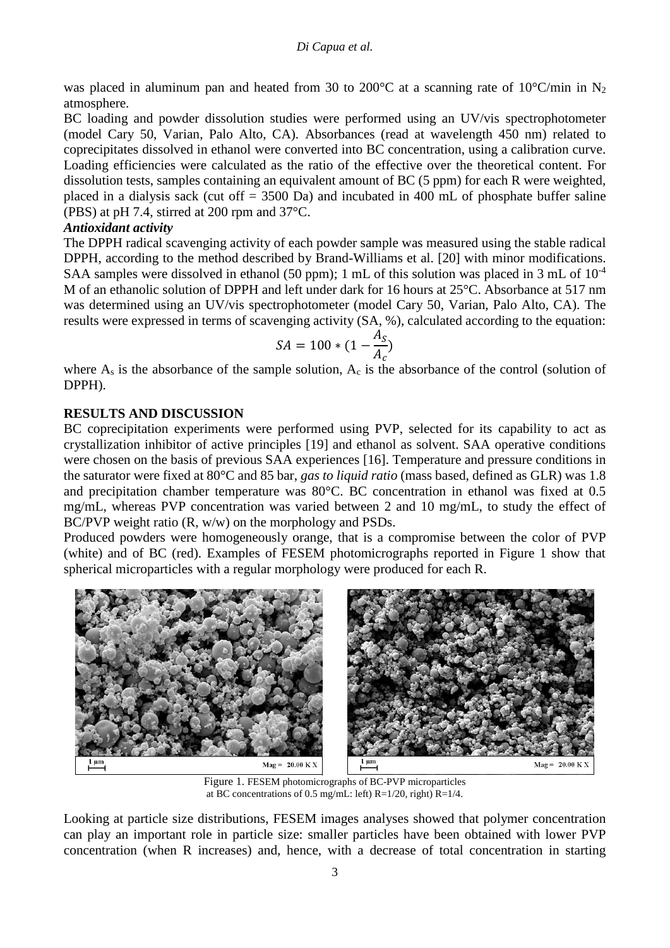## *Di Capua et al.*

was placed in aluminum pan and heated from 30 to 200 $^{\circ}$ C at a scanning rate of 10 $^{\circ}$ C/min in N<sub>2</sub> atmosphere.

BC loading and powder dissolution studies were performed using an UV/vis spectrophotometer (model Cary 50, Varian, Palo Alto, CA). Absorbances (read at wavelength 450 nm) related to coprecipitates dissolved in ethanol were converted into BC concentration, using a calibration curve. Loading efficiencies were calculated as the ratio of the effective over the theoretical content. For dissolution tests, samples containing an equivalent amount of BC (5 ppm) for each R were weighted, placed in a dialysis sack (cut off = 3500 Da) and incubated in 400 mL of phosphate buffer saline (PBS) at pH 7.4, stirred at 200 rpm and 37°C.

## *Antioxidant activity*

The DPPH radical scavenging activity of each powder sample was measured using the stable radical DPPH, according to the method described by Brand-Williams et al. [20] with minor modifications. SAA samples were dissolved in ethanol (50 ppm); 1 mL of this solution was placed in 3 mL of  $10^{-4}$ M of an ethanolic solution of DPPH and left under dark for 16 hours at 25°C. Absorbance at 517 nm was determined using an UV/vis spectrophotometer (model Cary 50, Varian, Palo Alto, CA). The results were expressed in terms of scavenging activity (SA, %), calculated according to the equation:

$$
SA = 100 * (1 - \frac{A_S}{A_c})
$$

where  $A_s$  is the absorbance of the sample solution,  $A_c$  is the absorbance of the control (solution of DPPH).

## **RESULTS AND DISCUSSION**

BC coprecipitation experiments were performed using PVP, selected for its capability to act as crystallization inhibitor of active principles [19] and ethanol as solvent. SAA operative conditions were chosen on the basis of previous SAA experiences [16]. Temperature and pressure conditions in the saturator were fixed at 80°C and 85 bar, *gas to liquid ratio* (mass based, defined as GLR) was 1.8 and precipitation chamber temperature was 80°C. BC concentration in ethanol was fixed at 0.5 mg/mL, whereas PVP concentration was varied between 2 and 10 mg/mL, to study the effect of BC/PVP weight ratio (R, w/w) on the morphology and PSDs.

Produced powders were homogeneously orange, that is a compromise between the color of PVP (white) and of BC (red). Examples of FESEM photomicrographs reported in Figure 1 show that spherical microparticles with a regular morphology were produced for each R.



Figure 1. FESEM photomicrographs of BC-PVP microparticles at BC concentrations of 0.5 mg/mL: left) R=1/20, right) R=1/4.

Looking at particle size distributions, FESEM images analyses showed that polymer concentration can play an important role in particle size: smaller particles have been obtained with lower PVP concentration (when R increases) and, hence, with a decrease of total concentration in starting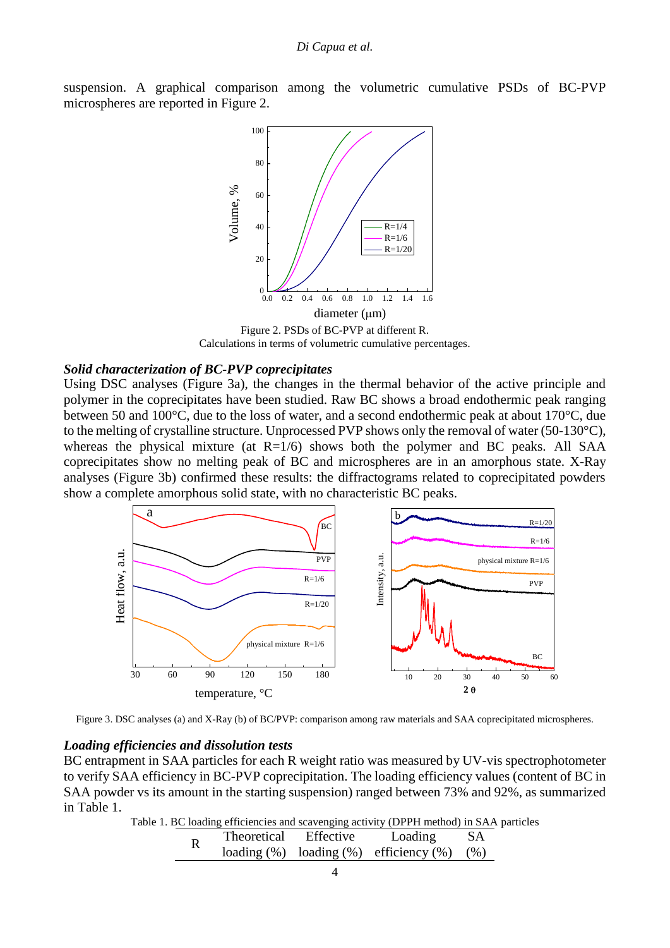



Figure 2. PSDs of BC-PVP at different R. Calculations in terms of volumetric cumulative percentages.

### *Solid characterization of BC-PVP coprecipitates*

Using DSC analyses (Figure 3a), the changes in the thermal behavior of the active principle and polymer in the coprecipitates have been studied. Raw BC shows a broad endothermic peak ranging between 50 and 100°C, due to the loss of water, and a second endothermic peak at about 170°C, due to the melting of crystalline structure. Unprocessed PVP shows only the removal of water (50-130°C), whereas the physical mixture (at  $R=1/6$ ) shows both the polymer and BC peaks. All SAA coprecipitates show no melting peak of BC and microspheres are in an amorphous state. X-Ray analyses (Figure 3b) confirmed these results: the diffractograms related to coprecipitated powders show a complete amorphous solid state, with no characteristic BC peaks.



Figure 3. DSC analyses (a) and X-Ray (b) of BC/PVP: comparison among raw materials and SAA coprecipitated microspheres.

#### *Loading efficiencies and dissolution tests*

BC entrapment in SAA particles for each R weight ratio was measured by UV-vis spectrophotometer to verify SAA efficiency in BC-PVP coprecipitation. The loading efficiency values (content of BC in SAA powder vs its amount in the starting suspension) ranged between 73% and 92%, as summarized in Table 1.

Table 1. BC loading efficiencies and scavenging activity (DPPH method) in SAA particles

|  | Theoretical | Effective | Loading                                         | <b>SA</b> |
|--|-------------|-----------|-------------------------------------------------|-----------|
|  |             |           | loading $(\%)$ loading $(\%)$ efficiency $(\%)$ | (% )      |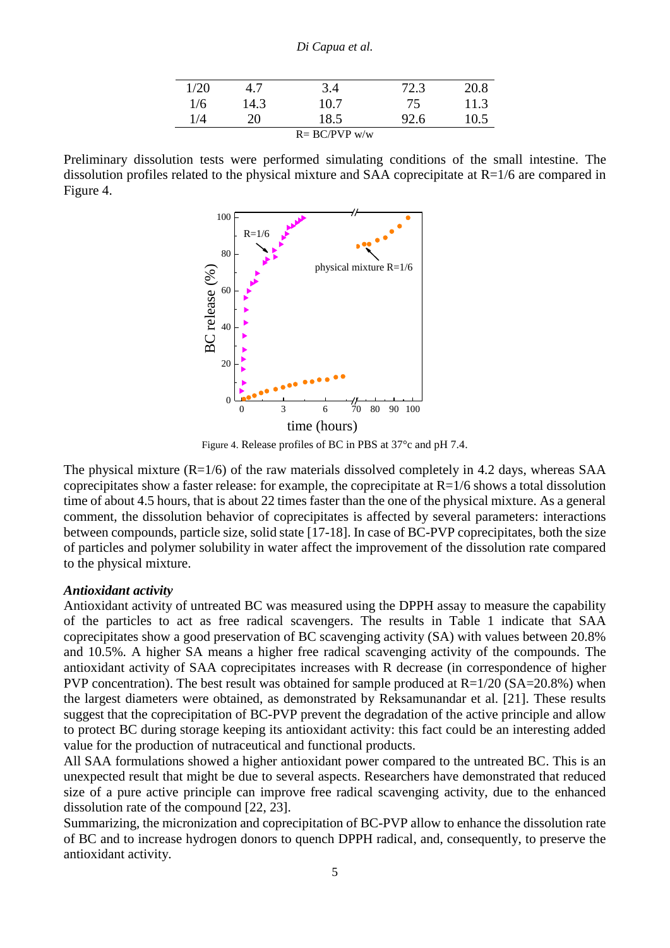#### *Di Capua et al.*

| 1/20             |      | 3.4  | 72.3 | 20.8 |  |  |  |
|------------------|------|------|------|------|--|--|--|
| 1/6              | 14.3 | 10.7 | 75   | 11.3 |  |  |  |
| 1/4              | 20   | 18.5 | 92.6 | 10.5 |  |  |  |
| $R = BC/PVP$ w/w |      |      |      |      |  |  |  |

Preliminary dissolution tests were performed simulating conditions of the small intestine. The dissolution profiles related to the physical mixture and SAA coprecipitate at  $R=1/6$  are compared in Figure 4.



Figure 4. Release profiles of BC in PBS at 37°c and pH 7.4.

The physical mixture  $(R=1/6)$  of the raw materials dissolved completely in 4.2 days, whereas SAA coprecipitates show a faster release: for example, the coprecipitate at  $R=1/6$  shows a total dissolution time of about 4.5 hours, that is about 22 times faster than the one of the physical mixture. As a general comment, the dissolution behavior of coprecipitates is affected by several parameters: interactions between compounds, particle size, solid state [17-18]. In case of BC-PVP coprecipitates, both the size of particles and polymer solubility in water affect the improvement of the dissolution rate compared to the physical mixture.

## *Antioxidant activity*

Antioxidant activity of untreated BC was measured using the DPPH assay to measure the capability of the particles to act as free radical scavengers. The results in Table 1 indicate that SAA coprecipitates show a good preservation of BC scavenging activity (SA) with values between 20.8% and 10.5%. A higher SA means a higher free radical scavenging activity of the compounds. The antioxidant activity of SAA coprecipitates increases with R decrease (in correspondence of higher PVP concentration). The best result was obtained for sample produced at  $R=1/20$  (SA=20.8%) when the largest diameters were obtained, as demonstrated by Reksamunandar et al. [21]. These results suggest that the coprecipitation of BC-PVP prevent the degradation of the active principle and allow to protect BC during storage keeping its antioxidant activity: this fact could be an interesting added value for the production of nutraceutical and functional products.

All SAA formulations showed a higher antioxidant power compared to the untreated BC. This is an unexpected result that might be due to several aspects. Researchers have demonstrated that reduced size of a pure active principle can improve free radical scavenging activity, due to the enhanced dissolution rate of the compound [22, 23].

Summarizing, the micronization and coprecipitation of BC-PVP allow to enhance the dissolution rate of BC and to increase hydrogen donors to quench DPPH radical, and, consequently, to preserve the antioxidant activity.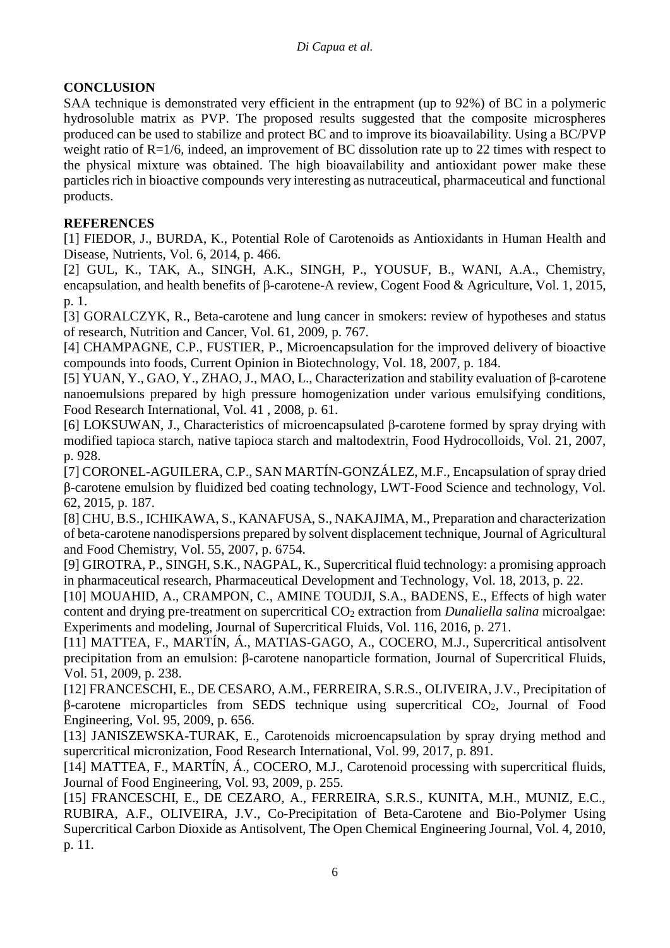# **CONCLUSION**

SAA technique is demonstrated very efficient in the entrapment (up to 92%) of BC in a polymeric hydrosoluble matrix as PVP. The proposed results suggested that the composite microspheres produced can be used to stabilize and protect BC and to improve its bioavailability. Using a BC/PVP weight ratio of R=1/6, indeed, an improvement of BC dissolution rate up to 22 times with respect to the physical mixture was obtained. The high bioavailability and antioxidant power make these particles rich in bioactive compounds very interesting as nutraceutical, pharmaceutical and functional products.

# **REFERENCES**

[1] FIEDOR, J., BURDA, K., Potential Role of Carotenoids as Antioxidants in Human Health and Disease, Nutrients, Vol. 6, 2014, p. 466.

[2] GUL, K., TAK, A., SINGH, A.K., SINGH, P., YOUSUF, B., WANI, A.A., Chemistry, encapsulation, and health benefits of β-carotene-A review, Cogent Food & Agriculture, Vol. 1, 2015, p. 1.

[3] GORALCZYK, R., Beta-carotene and lung cancer in smokers: review of hypotheses and status of research, Nutrition and Cancer, Vol. 61, 2009, p. 767.

[4] CHAMPAGNE, C.P., FUSTIER, P., Microencapsulation for the improved delivery of bioactive compounds into foods, Current Opinion in Biotechnology, Vol. 18, 2007, p. 184.

[5] YUAN, Y., GAO, Y., ZHAO, J., MAO, L., Characterization and stability evaluation of β-carotene nanoemulsions prepared by high pressure homogenization under various emulsifying conditions, Food Research International, Vol. 41 , 2008, p. 61.

[6] LOKSUWAN, J., Characteristics of microencapsulated β-carotene formed by spray drying with modified tapioca starch, native tapioca starch and maltodextrin, Food Hydrocolloids, Vol. 21, 2007, p. 928.

[7] CORONEL-AGUILERA, C.P., SAN MARTÍN-GONZÁLEZ, M.F., Encapsulation of spray dried β-carotene emulsion by fluidized bed coating technology, LWT-Food Science and technology, Vol. 62, 2015, p. 187.

[8] CHU, B.S., ICHIKAWA, S., KANAFUSA, S., NAKAJIMA, M., Preparation and characterization of beta-carotene nanodispersions prepared by solvent displacement technique, Journal of Agricultural and Food Chemistry, Vol. 55, 2007, p. 6754.

[9] GIROTRA, P., SINGH, S.K., NAGPAL, K., Supercritical fluid technology: a promising approach in pharmaceutical research, Pharmaceutical Development and Technology, Vol. 18, 2013, p. 22.

[10] MOUAHID, A., CRAMPON, C., AMINE TOUDJI, S.A., BADENS, E., Effects of high water content and drying pre-treatment on supercritical CO<sub>2</sub> extraction from *Dunaliella salina* microalgae: Experiments and modeling, Journal of Supercritical Fluids, Vol. 116, 2016, p. 271.

[11] MATTEA, F., MARTÍN, Á., MATIAS-GAGO, A., COCERO, M.J., Supercritical antisolvent precipitation from an emulsion: β-carotene nanoparticle formation, Journal of Supercritical Fluids, Vol. 51, 2009, p. 238.

[12] FRANCESCHI, E., DE CESARO, A.M., FERREIRA, S.R.S., OLIVEIRA, J.V., Precipitation of  $β$ -carotene microparticles from SEDS technique using supercritical  $CO<sub>2</sub>$ , Journal of Food Engineering, Vol. 95, 2009, p. 656.

[13] JANISZEWSKA-TURAK, E., Carotenoids microencapsulation by spray drying method and supercritical micronization, Food Research International, Vol. 99, 2017, p. 891.

[14] MATTEA, F., MARTÍN, Á., COCERO, M.J., Carotenoid processing with supercritical fluids, Journal of Food Engineering, Vol. 93, 2009, p. 255.

[15] FRANCESCHI, E., DE CEZARO, A., FERREIRA, S.R.S., KUNITA, M.H., MUNIZ, E.C., RUBIRA, A.F., OLIVEIRA, J.V., Co-Precipitation of Beta-Carotene and Bio-Polymer Using Supercritical Carbon Dioxide as Antisolvent, The Open Chemical Engineering Journal, Vol. 4, 2010, p. 11.